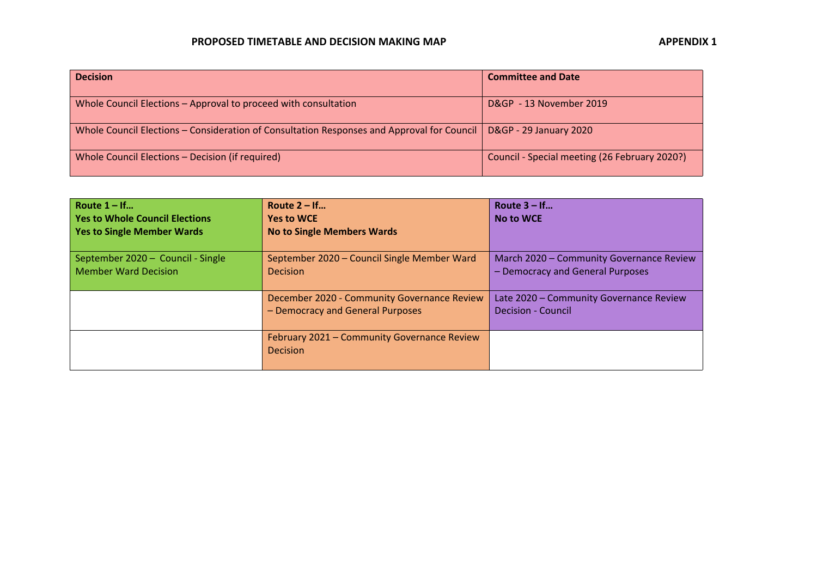## **PROPOSED TIMETABLE AND DECISION MAKING MAP APPENDIX 1**

| <b>Decision</b>                                                                            | <b>Committee and Date</b>                     |
|--------------------------------------------------------------------------------------------|-----------------------------------------------|
| Whole Council Elections – Approval to proceed with consultation                            | D&GP - 13 November 2019                       |
| Whole Council Elections – Consideration of Consultation Responses and Approval for Council | <b>D&amp;GP - 29 January 2020</b>             |
| Whole Council Elections - Decision (if required)                                           | Council - Special meeting (26 February 2020?) |

| Route $1 - If$<br><b>Yes to Whole Council Elections</b><br><b>Yes to Single Member Wards</b> | Route $2 - If$<br><b>Yes to WCE</b><br><b>No to Single Members Wards</b>        | Route $3 - If$<br><b>No to WCE</b>                                           |
|----------------------------------------------------------------------------------------------|---------------------------------------------------------------------------------|------------------------------------------------------------------------------|
| September 2020 - Council - Single<br><b>Member Ward Decision</b>                             | September 2020 - Council Single Member Ward<br><b>Decision</b>                  | March 2020 - Community Governance Review<br>- Democracy and General Purposes |
|                                                                                              | December 2020 - Community Governance Review<br>- Democracy and General Purposes | Late 2020 - Community Governance Review<br><b>Decision - Council</b>         |
|                                                                                              | February 2021 – Community Governance Review<br><b>Decision</b>                  |                                                                              |